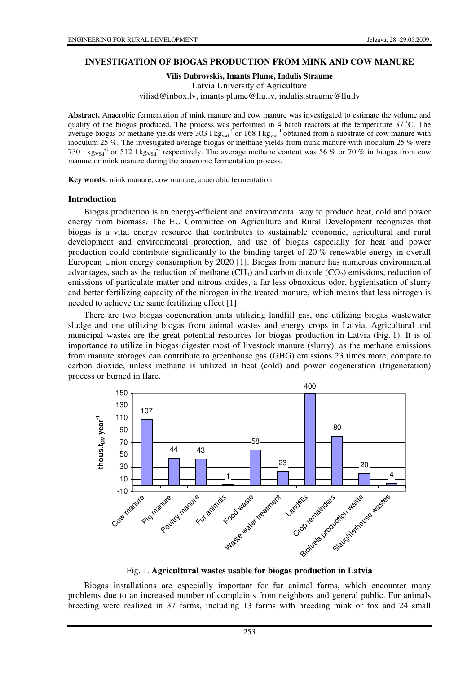## **INVESTIGATION OF BIOGAS PRODUCTION FROM MINK AND COW MANURE**

**Vilis Dubrovskis, Imants Plume, Indulis Straume** 

Latvia University of Agriculture vilisd@inbox.lv, imants.plume@llu.lv, indulis.straume@llu.lv

**Abstract.** Anaerobic fermentation of mink manure and cow manure was investigated to estimate the volume and quality of the biogas produced. The process was performed in 4 batch reactors at the temperature 37 °C. The average biogas or methane yields were 303 l  $kg_{vsd}$ <sup>-1</sup> or 168 l kg<sub>vsd</sub><sup>-1</sup> obtained from a substrate of cow manure with inoculum 25 %. The investigated average biogas or methane yields from mink manure with inoculum 25 % were 730 l kg<sub>VSd</sub><sup>-1</sup> or 512 l kg<sub>VSd</sub><sup>-1</sup> respectively. The average methane content was 56 % or 70 % in biogas from cow manure or mink manure during the anaerobic fermentation process.

**Key words:** mink manure, cow manure, anaerobic fermentation.

#### **Introduction**

Biogas production is an energy-efficient and environmental way to produce heat, cold and power energy from biomass. The EU Committee on Agriculture and Rural Development recognizes that biogas is a vital energy resource that contributes to sustainable economic, agricultural and rural development and environmental protection, and use of biogas especially for heat and power production could contribute significantly to the binding target of 20 % renewable energy in overall European Union energy consumption by 2020 [1]. Biogas from manure has numerous environmental advantages, such as the reduction of methane  $(CH_4)$  and carbon dioxide  $(CO_2)$  emissions, reduction of emissions of particulate matter and nitrous oxides, a far less obnoxious odor, hygienisation of slurry and better fertilizing capacity of the nitrogen in the treated manure, which means that less nitrogen is needed to achieve the same fertilizing effect [1].

There are two biogas cogeneration units utilizing landfill gas, one utilizing biogas wastewater sludge and one utilizing biogas from animal wastes and energy crops in Latvia. Agricultural and municipal wastes are the great potential resources for biogas production in Latvia (Fig. 1). It is of importance to utilize in biogas digester most of livestock manure (slurry), as the methane emissions from manure storages can contribute to greenhouse gas (GHG) emissions 23 times more, compare to carbon dioxide, unless methane is utilized in heat (cold) and power cogeneration (trigeneration) process or burned in flare.



Fig. 1. **Agricultural wastes usable for biogas production in Latvia**

Biogas installations are especially important for fur animal farms, which encounter many problems due to an increased number of complaints from neighbors and general public. Fur animals breeding were realized in 37 farms, including 13 farms with breeding mink or fox and 24 small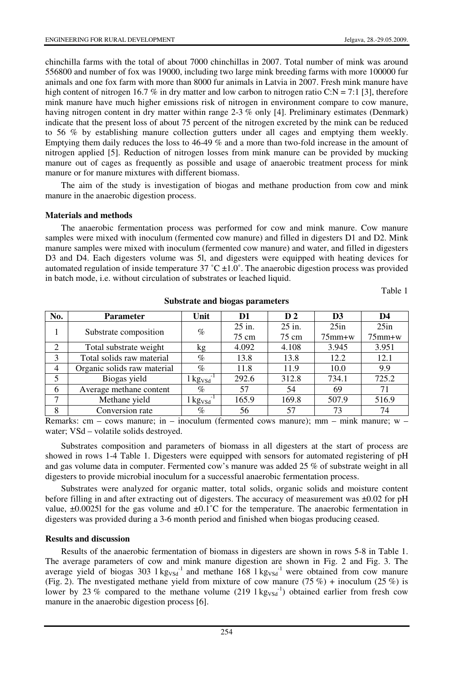chinchilla farms with the total of about 7000 chinchillas in 2007. Total number of mink was around 556800 and number of fox was 19000, including two large mink breeding farms with more 100000 fur animals and one fox farm with more than 8000 fur animals in Latvia in 2007. Fresh mink manure have high content of nitrogen 16.7 % in dry matter and low carbon to nitrogen ratio C:N = 7:1 [3], therefore mink manure have much higher emissions risk of nitrogen in environment compare to cow manure, having nitrogen content in dry matter within range 2-3 % only [4]. Preliminary estimates (Denmark) indicate that the present loss of about 75 percent of the nitrogen excreted by the mink can be reduced to 56 % by establishing manure collection gutters under all cages and emptying them weekly. Emptying them daily reduces the loss to 46-49 % and a more than two-fold increase in the amount of nitrogen applied [5]. Reduction of nitrogen losses from mink manure can be provided by mucking manure out of cages as frequently as possible and usage of anaerobic treatment process for mink manure or for manure mixtures with different biomass.

The aim of the study is investigation of biogas and methane production from cow and mink manure in the anaerobic digestion process.

## **Materials and methods**

The anaerobic fermentation process was performed for cow and mink manure. Cow manure samples were mixed with inoculum (fermented cow manure) and filled in digesters D1 and D2. Mink manure samples were mixed with inoculum (fermented cow manure) and water, and filled in digesters D3 and D4. Each digesters volume was 5l, and digesters were equipped with heating devices for automated regulation of inside temperature  $37 \degree C \pm 1.0\degree$ . The anaerobic digestion process was provided in batch mode, i.e. without circulation of substrates or leached liquid.

Table 1

| No. | <b>Parameter</b>            | Unit                                       | D1       | D <sub>2</sub> | D3           | D4           |
|-----|-----------------------------|--------------------------------------------|----------|----------------|--------------|--------------|
|     | Substrate composition       | $\%$                                       | $25$ in. | 25 in.         | 25in         | 25in         |
|     |                             |                                            | 75 cm    | 75 cm          | $75$ mm $+w$ | $75$ mm $+w$ |
| 2   | Total substrate weight      | kg                                         | 4.092    | 4.108          | 3.945        | 3.951        |
| 3   | Total solids raw material   | $\%$                                       | 13.8     | 13.8           | 12.2         | 12.1         |
| 4   | Organic solids raw material | $\%$                                       | 11.8     | 11.9           | 10.0         | 9.9          |
| 5   | Biogas yield                | $1 \text{ kg}_{\text{VSG}}^{-1}$           | 292.6    | 312.8          | 734.1        | 725.2        |
| 6   | Average methane content     | $\%$                                       | 57       | 54             | 69           | 71           |
| 7   | Methane yield               | $1 \text{kg}$ <sub>VSd</sub> <sup>-1</sup> | 165.9    | 169.8          | 507.9        | 516.9        |
| 8   | Conversion rate             | $\%$                                       | 56       | 57             | 73           | 74           |

**Substrate and biogas parameters** 

Remarks: cm – cows manure; in – inoculum (fermented cows manure); mm – mink manure; w – water; VSd – volatile solids destroyed.

Substrates composition and parameters of biomass in all digesters at the start of process are showed in rows 1-4 Table 1. Digesters were equipped with sensors for automated registering of pH and gas volume data in computer. Fermented cow's manure was added 25 % of substrate weight in all digesters to provide microbial inoculum for a successful anaerobic fermentation process.

Substrates were analyzed for organic matter, total solids, organic solids and moisture content before filling in and after extracting out of digesters. The accuracy of measurement was ±0.02 for pH value,  $\pm 0.00251$  for the gas volume and  $\pm 0.1^{\circ}$ C for the temperature. The anaerobic fermentation in digesters was provided during a 3-6 month period and finished when biogas producing ceased.

### **Results and discussion**

Results of the anaerobic fermentation of biomass in digesters are shown in rows 5-8 in Table 1. The average parameters of cow and mink manure digestion are shown in Fig. 2 and Fig. 3. The average yield of biogas 303  $1 \text{kg}_{\text{VSG}}^{-1}$  and methane 168  $1 \text{kg}_{\text{VSG}}^{-1}$  were obtained from cow manure (Fig. 2). The nvestigated methane yield from mixture of cow manure (75 %) + inoculum (25 %) is lower by 23 % compared to the methane volume (219  $1 \text{kg}_{\text{VSd}}^{-1}$ ) obtained earlier from fresh cow manure in the anaerobic digestion process [6].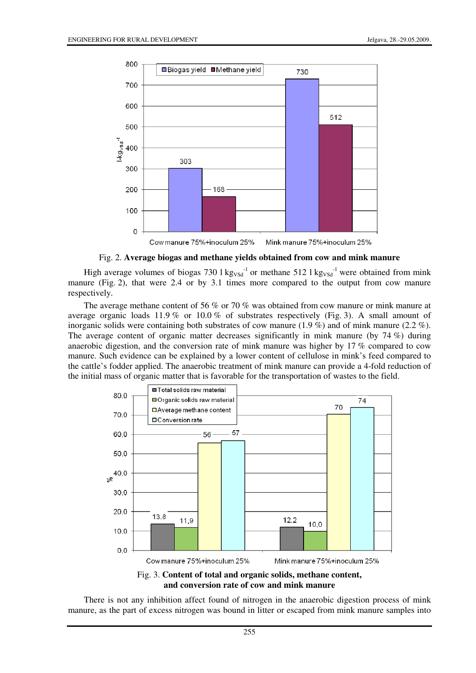

Cow manure 75%+inoculum 25% Mink manure 75%+inoculum 25%

#### Fig. 2. **Average biogas and methane yields obtained from cow and mink manure**

High average volumes of biogas 730  $1 \text{ kg}_{V\text{Sd}}^{-1}$  or methane 512  $1 \text{ kg}_{V\text{Sd}}^{-1}$  were obtained from mink manure (Fig. 2), that were 2.4 or by 3.1 times more compared to the output from cow manure respectively.

The average methane content of 56 % or 70 % was obtained from cow manure or mink manure at average organic loads 11.9 % or 10.0 % of substrates respectively (Fig. 3). A small amount of inorganic solids were containing both substrates of cow manure (1.9 %) and of mink manure (2.2 %). The average content of organic matter decreases significantly in mink manure (by 74 %) during anaerobic digestion, and the conversion rate of mink manure was higher by 17 % compared to cow manure. Such evidence can be explained by a lower content of cellulose in mink's feed compared to the cattle's fodder applied. The anaerobic treatment of mink manure can provide a 4-fold reduction of the initial mass of organic matter that is favorable for the transportation of wastes to the field.



**and conversion rate of cow and mink manure**

There is not any inhibition affect found of nitrogen in the anaerobic digestion process of mink manure, as the part of excess nitrogen was bound in litter or escaped from mink manure samples into